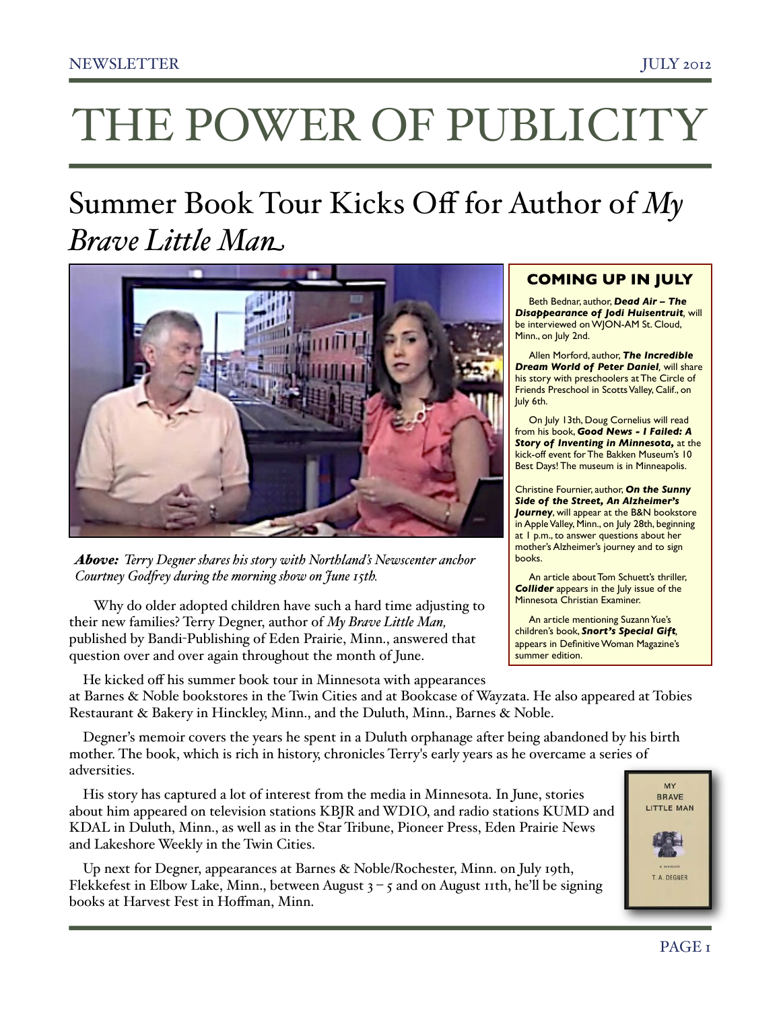# THE POWER OF PUBLICITY

# Summer Book Tour Kicks Off for Author of *My Brave Little Man*



*Above: Terry Degner shares his story with Northland's Newscenter anchor Courtney God!ey during the morning show on June 15th.* 

 Why do older adopted children have such a hard time adjusting to their new families? Terry Degner, author of *My Brave Little Man,* published by Bandi-Publishing of Eden Prairie, Minn., answered that question over and over again throughout the month of June.

# **COMING UP IN JULY**

Beth Bednar, author, *Dead Air – The Disappearance of Jodi Huisentruit,* will be interviewed on WJON-AM St. Cloud, Minn., on July 2nd.

Allen Morford, author, *The Incredible Dream World of Peter Daniel,* will share his story with preschoolers at The Circle of Friends Preschool in Scotts Valley, Calif., on July 6th.

On July 13th, Doug Cornelius will read from his book, *Good News - I Failed: A Story of Inventing in Minnesota,* at the kick-off event for The Bakken Museum's 10 Best Days! The museum is in Minneapolis.

Christine Fournier, author, *On the Sunny Side of the Street, An Alzheimer's*  **Journey**, will appear at the B&N bookstore in Apple Valley, Minn., on July 28th, beginning at 1 p.m., to answer questions about her mother's Alzheimer's journey and to sign books.

An article about Tom Schuett's thriller, **Collider** appears in the July issue of the Minnesota Christian Examiner.

An article mentioning Suzann Yue's children's book, *Snort's Special Gift,* appears in Definitive Woman Magazine's summer edition.

He kicked off his summer book tour in Minnesota with appearances at Barnes & Noble bookstores in the Twin Cities and at Bookcase of Wayzata. He also appeared at Tobies Restaurant & Bakery in Hinckley, Minn., and the Duluth, Minn., Barnes & Noble.

Degner's memoir covers the years he spent in a Duluth orphanage after being abandoned by his birth mother. The book, which is rich in history, chronicles Terry's early years as he overcame a series of adversities.

His story has captured a lot of interest from the media in Minnesota. In June, stories about him appeared on television stations KBJR and WDIO, and radio stations KUMD and KDAL in Duluth, Minn., as well as in the Star Tribune, Pioneer Press, Eden Prairie News and Lakeshore Weekly in the Twin Cities.

Up next for Degner, appearances at Barnes & Noble/Rochester, Minn. on July 19th, Flekkefest in Elbow Lake, Minn., between August  $3 - 5$  and on August 11th, he'll be signing books at Harvest Fest in Hoffman, Minn.

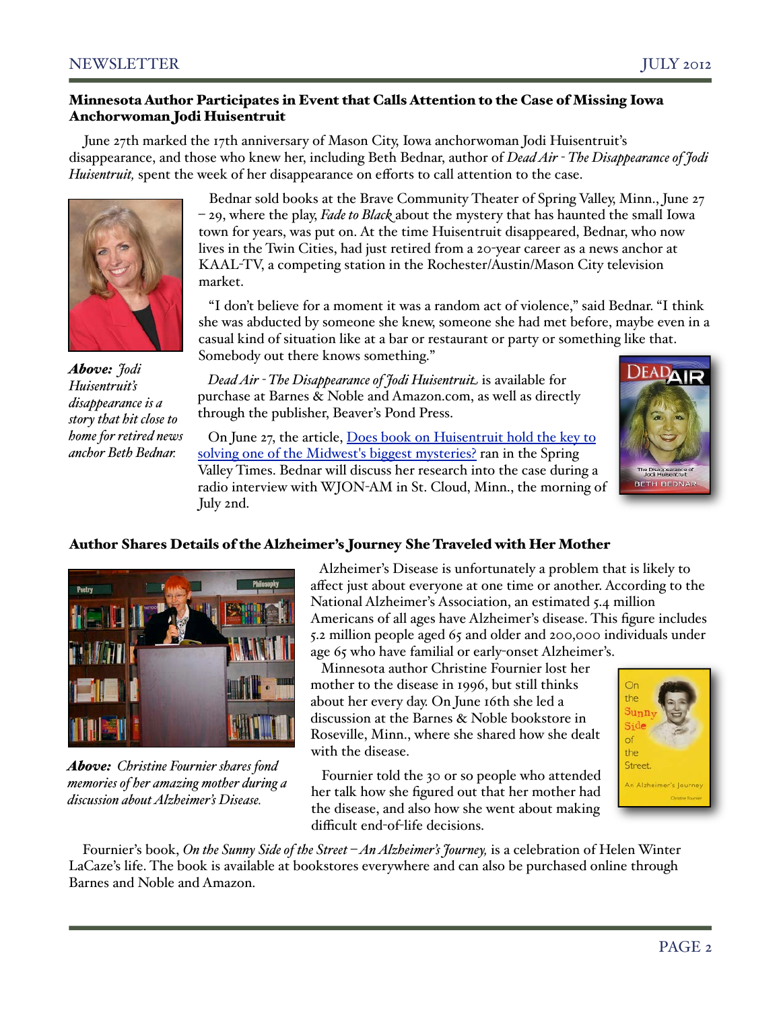#### Minnesota Author Participates in Event that Calls Attention to the Case of Missing Iowa Anchorwoman Jodi Huisentruit

June 27th marked the 17th anniversary of Mason City, Iowa anchorwoman Jodi Huisentruit's disappearance, and those who knew her, including Beth Bednar, author of *Dead Air - The Disappearance of Jodi Huisentruit*, spent the week of her disappearance on efforts to call attention to the case.



*Above: Jodi Huisentruit's disappearance is a story that hit close to home for retired news anchor Beth Bednar.*

 Bednar sold books at the Brave Community Theater of Spring Valley, Minn., June 27 – 29, where the play, *Fade to Black* about the mystery that has haunted the small Iowa town for years, was put on. At the time Huisentruit disappeared, Bednar, who now lives in the Twin Cities, had just retired from a 20-year career as a news anchor at KAAL-TV, a competing station in the Rochester/Austin/Mason City television market.

 "I don't believe for a moment it was a random act of violence," said Bednar. "I think she was abducted by someone she knew, someone she had met before, maybe even in a casual kind of situation like at a bar or restaurant or party or something like that. Somebody out there knows something."

 *Dead Air - The Disappearance of Jodi Huisentruit* is available for purchase at Barnes & Noble and Amazon.com, as well as directly through the publisher, Beaver's Pond Press.

 On June 27, the article, [Does book on Huisentruit hold the key to](http://www.hometown-pages.com/main.asp?SectionID=11&SubSectionID=94&ArticleID=44092)  [solving one of the Midwest's biggest mysteries?](http://www.hometown-pages.com/main.asp?SectionID=11&SubSectionID=94&ArticleID=44092) ran in the Spring Valley Times. Bednar will discuss her research into the case during a radio interview with WJON-AM in St. Cloud, Minn., the morning of July 2nd.



# Author Shares Details of the Alzheimer's Journey She Traveled with Her Mother



*Above: Christine Fournier shares fond memories of her amazing mother during a discussion about Alzheimer's Disease.*

 Alzheimer's Disease is unfortunately a problem that is likely to affect just about everyone at one time or another. According to the National Alzheimer's Association, an estimated 5.4 million Americans of all ages have Alzheimer's disease. This figure includes 5.2 million people aged 65 and older and 200,000 individuals under age 65 who have familial or early-onset Alzheimer's.

 Minnesota author Christine Fournier lost her mother to the disease in 1996, but still thinks about her every day. On June 16th she led a discussion at the Barnes & Noble bookstore in Roseville, Minn., where she shared how she dealt with the disease.

 Fournier told the 30 or so people who attended her talk how she figured out that her mother had the disease, and also how she went about making difficult end-of-life decisions.



Fournier's book, *On the Sunny Side of the Street – An Alzheimer's Journey,* is a celebration of Helen Winter LaCaze's life. The book is available at bookstores everywhere and can also be purchased online through Barnes and Noble and Amazon.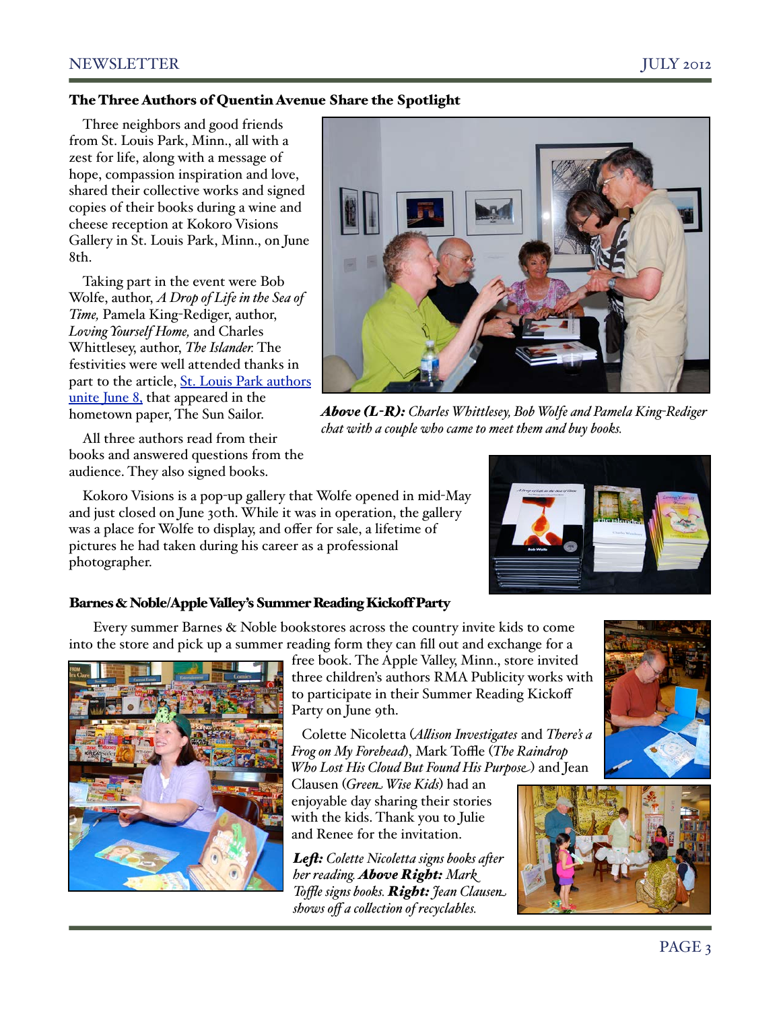#### The Three Authors of Quentin Avenue Share the Spotlight

Three neighbors and good friends from St. Louis Park, Minn., all with a zest for life, along with a message of hope, compassion inspiration and love, shared their collective works and signed copies of their books during a wine and cheese reception at Kokoro Visions Gallery in St. Louis Park, Minn., on June 8th.

Taking part in the event were Bob Wolfe, author, *A Drop of Life in the Sea of Time,* Pamela King-Rediger, author, *Loving Yourself Home,* and Charles Whittlesey, author, *The Islander.* The festivities were well attended thanks in part to the article, [St. Louis Park authors](http://sailor.mnsun.com/2012/06/st-louis-park-unite-june-8/)  [unite June 8,](http://sailor.mnsun.com/2012/06/st-louis-park-unite-june-8/) that appeared in the hometown paper, The Sun Sailor.

All three authors read from their books and answered questions from the audience. They also signed books.

Kokoro Visions is a pop-up gallery that Wolfe opened in mid-May and just closed on June 30th. While it was in operation, the gallery was a place for Wolfe to display, and offer for sale, a lifetime of pictures he had taken during his career as a professional photographer.

## Barnes & Noble/Apple Valley's Summer Reading Kickoff Party

 Every summer Barnes & Noble bookstores across the country invite kids to come into the store and pick up a summer reading form they can fill out and exchange for a



free book. The Apple Valley, Minn., store invited three children's authors RMA Publicity works with to participate in their Summer Reading Kickoff Party on June 9th.

 Colette Nicoletta (*A'ison Investigates* and *There's a Frog on My Forehead*), Mark Toffle (*The Raindrop Who Lost His Cloud But Found His Purpose*) and Jean

Clausen (*Green Wise Kids*) had an enjoyable day sharing their stories with the kids. Thank you to Julie and Renee for the invitation.

*Le\$: Colette Nicoletta signs books a\*er her reading. Above Right: Mark Toffle signs books. Right: Jean Clausen shows off a co'ection of recyclables.*



*Above (L-R): Charles Whittlesey, Bob Wolfe and Pamela King-Rediger chat with a couple who came to meet them and buy books.* 





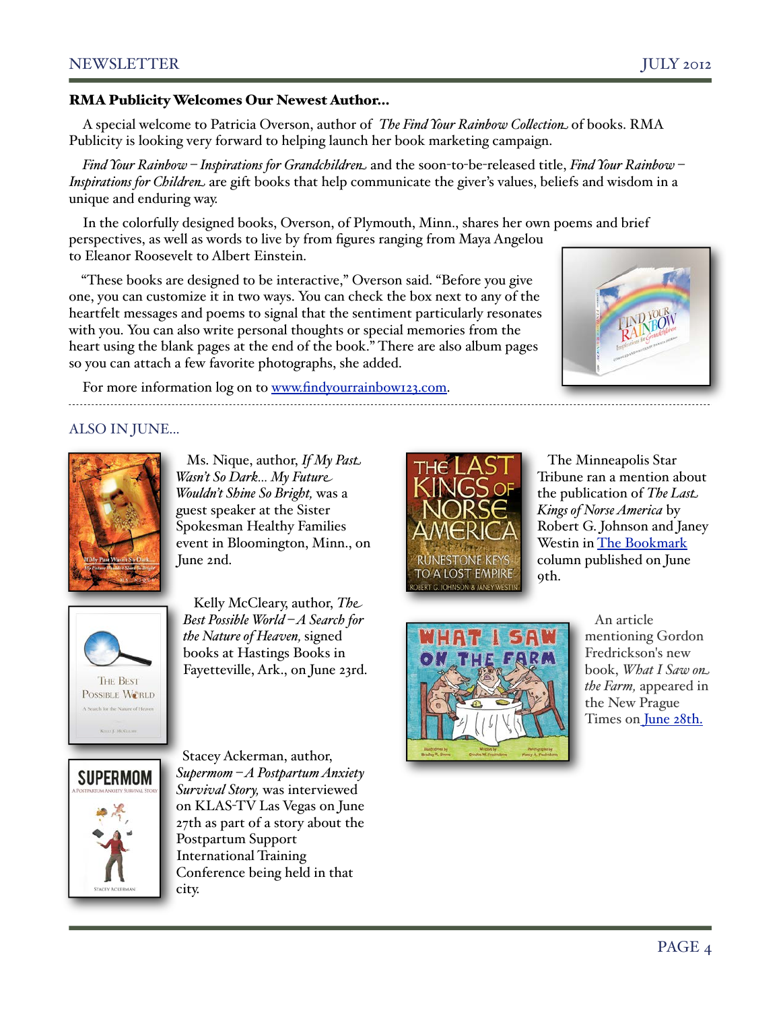# NEWSLETTER JULY 2012

#### RMA Publicity Welcomes Our Newest Author…

A special welcome to Patricia Overson, author of *The Find Your Rainbow Co'ection* of books. RMA Publicity is looking very forward to helping launch her book marketing campaign.

*Find Your Rainbow – Inspirations for Grandchildren* and the soon-to-be-released title, *Find Your Rainbow – Inspirations for Children* are gift books that help communicate the giver's values, beliefs and wisdom in a unique and enduring way.

In the colorfully designed books, Overson, of Plymouth, Minn., shares her own poems and brief perspectives, as well as words to live by from figures ranging from Maya Angelou to Eleanor Roosevelt to Albert Einstein.

"These books are designed to be interactive," Overson said. "Before you give one, you can customize it in two ways. You can check the box next to any of the heartfelt messages and poems to signal that the sentiment particularly resonates with you. You can also write personal thoughts or special memories from the heart using the blank pages at the end of the book." There are also album pages so you can attach a few favorite photographs, she added.

For more information log on to [www.findyourrainbow123.com.](http://www.findyourrainbow123.com)

ALSO IN JUNE...

 Ms. Nique, author, *If My Past Wasn't So Dark… My Future Wouldn't Shine So Bright,* was a guest speaker at the Sister Spokesman Healthy Families event in Bloomington, Minn., on June 2nd.

 Kelly McCleary, author, *The Best Possible World – A Search for the Nature of Heaven,* signed books at Hastings Books in Fayetteville, Ark., on June 23rd.

Stacey Ackerman, author, *Supermom – A Postpartum Anxiety Survival Story,* was interviewed on KLAS-TV Las Vegas on June 27th as part of a story about the Postpartum Support International Training Conference being held in that





RUNESTONE KEY TO A LOST EMPIRE

> An article mentioning Gordon Fredrickson's new book, *What I Saw on the Farm,* appeared in the New Prague Times o[n June 28th.](http://www.newpraguetimes.com/main.asp?Search=1&ArticleID=14707&SectionID=8&SubSectionID&S=1)



**THE BEST** POSSIBLE WORLD

city.

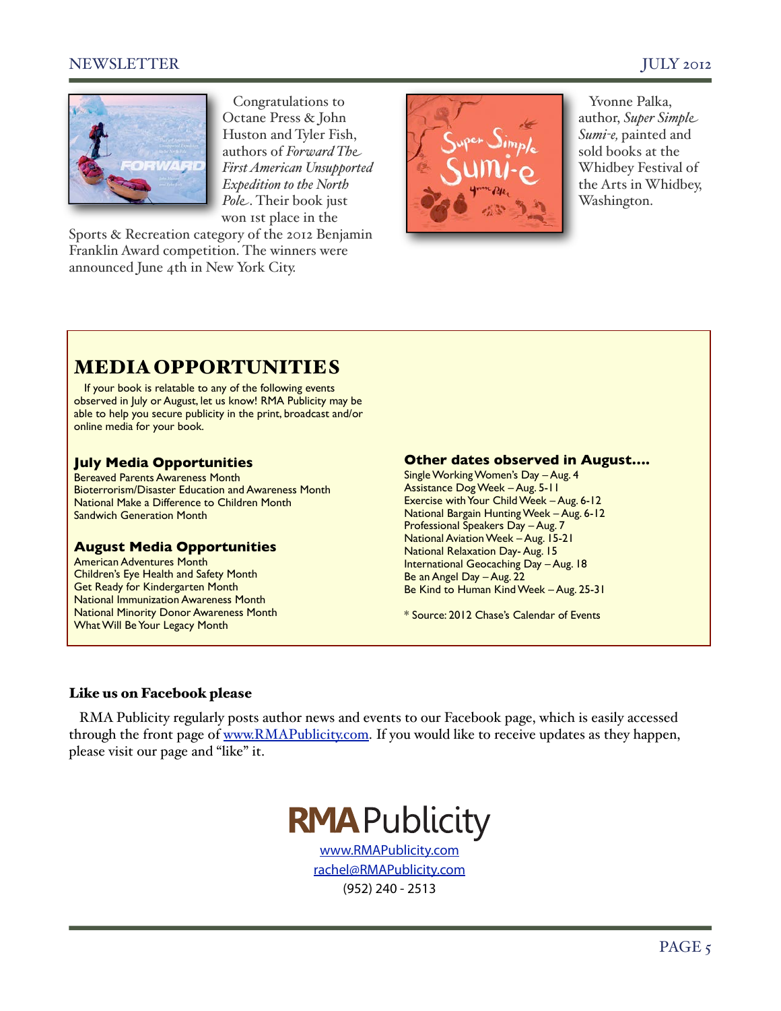## NEWSLETTER JULY 2012



 Congratulations to Octane Press & John Huston and Tyler Fish, authors of *Forward The First American Unsupported Expedition to the North Pole*. Their book just won 1st place in the

Sports & Recreation category of the 2012 Benjamin Franklin Award competition. The winners were announced June 4th in New York City.



 Yvonne Palka, author, *Super Simple Sumi-e,* painted and sold books at the Whidbey Festival of the Arts in Whidbey, Washington.

# MEDIA OPPORTUNITIES

If your book is relatable to any of the following events observed in July or August, let us know! RMA Publicity may be able to help you secure publicity in the print, broadcast and/or online media for your book.

#### **July Media Opportunities**

Bereaved Parents Awareness Month Bioterrorism/Disaster Education and Awareness Month National Make a Difference to Children Month Sandwich Generation Month

#### **August Media Opportunities**

American Adventures Month Children's Eye Health and Safety Month Get Ready for Kindergarten Month National Immunization Awareness Month National Minority Donor Awareness Month What Will Be Your Legacy Month

#### **Other dates observed in August….**

Single Working Women's Day – Aug. 4 Assistance Dog Week – Aug. 5-11 Exercise with Your Child Week – Aug. 6-12 National Bargain Hunting Week – Aug. 6-12 Professional Speakers Day – Aug. 7 National Aviation Week – Aug. 15-21 National Relaxation Day- Aug. 15 International Geocaching Day – Aug. 18 Be an Angel Day – Aug. 22 Be Kind to Human Kind Week – Aug. 25-31

\* Source: 2012 Chase's Calendar of Events

#### Like us on Facebook please

 RMA Publicity regularly posts author news and events to our Facebook page, which is easily accessed through the front page of [www.RMAPublicity.com.](http://www.RMAPublicity.com) If you would like to receive updates as they happen, please visit our page and "like" it.

# **RMA** Publicity

[www.RMAPublicity.com](http://www.RMAPublicity.com) [rachel@RMAPublicity.com](mailto:?subject=) (952) 240 - 2513